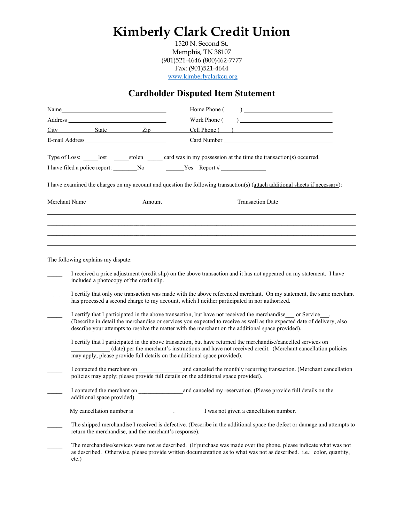## Kimberly Clark Credit Union

1520 N. Second St. Memphis, TN 38107 (901)521-4646 (800)462-7777 Fax: (901)521-4644 www.kimberlyclarkcu.org

## Cardholder Disputed Item Statement

|  | E-mail Address and the contract of the contract of the contract of the contract of the contract of the contract of the contract of the contract of the contract of the contract of the contract of the contract of the contrac |                                         |                                                                                    |                                                                                                                                                                                                                                                                                                                                                                                                                                                                                                                                                                                                                                                                                                                                                                                                                                                                                                                    |  |
|--|--------------------------------------------------------------------------------------------------------------------------------------------------------------------------------------------------------------------------------|-----------------------------------------|------------------------------------------------------------------------------------|--------------------------------------------------------------------------------------------------------------------------------------------------------------------------------------------------------------------------------------------------------------------------------------------------------------------------------------------------------------------------------------------------------------------------------------------------------------------------------------------------------------------------------------------------------------------------------------------------------------------------------------------------------------------------------------------------------------------------------------------------------------------------------------------------------------------------------------------------------------------------------------------------------------------|--|
|  |                                                                                                                                                                                                                                |                                         |                                                                                    | Type of Loss: lost stolen card was in my possession at the time the transaction(s) occurred.                                                                                                                                                                                                                                                                                                                                                                                                                                                                                                                                                                                                                                                                                                                                                                                                                       |  |
|  |                                                                                                                                                                                                                                |                                         |                                                                                    |                                                                                                                                                                                                                                                                                                                                                                                                                                                                                                                                                                                                                                                                                                                                                                                                                                                                                                                    |  |
|  |                                                                                                                                                                                                                                |                                         |                                                                                    | I have examined the charges on my account and question the following transaction(s) (attach additional sheets if necessary):                                                                                                                                                                                                                                                                                                                                                                                                                                                                                                                                                                                                                                                                                                                                                                                       |  |
|  | Merchant Name                                                                                                                                                                                                                  | Amount                                  |                                                                                    | <b>Transaction Date</b>                                                                                                                                                                                                                                                                                                                                                                                                                                                                                                                                                                                                                                                                                                                                                                                                                                                                                            |  |
|  | The following explains my dispute:                                                                                                                                                                                             |                                         |                                                                                    |                                                                                                                                                                                                                                                                                                                                                                                                                                                                                                                                                                                                                                                                                                                                                                                                                                                                                                                    |  |
|  | included a photocopy of the credit slip.                                                                                                                                                                                       |                                         | may apply; please provide full details on the additional space provided).          | I received a price adjustment (credit slip) on the above transaction and it has not appeared on my statement. I have<br>I certify that only one transaction was made with the above referenced merchant. On my statement, the same merchant<br>has processed a second charge to my account, which I neither participated in nor authorized.<br>I certify that I participated in the above transaction, but have not received the merchandise or Service.<br>(Describe in detail the merchandise or services you expected to receive as well as the expected date of delivery, also<br>describe your attempts to resolve the matter with the merchant on the additional space provided).<br>I certify that I participated in the above transaction, but have returned the merchandise/cancelled services on<br>(date) per the merchant's instructions and have not received credit. (Merchant cancellation policies |  |
|  |                                                                                                                                                                                                                                |                                         | policies may apply; please provide full details on the additional space provided). |                                                                                                                                                                                                                                                                                                                                                                                                                                                                                                                                                                                                                                                                                                                                                                                                                                                                                                                    |  |
|  | additional space provided).                                                                                                                                                                                                    |                                         |                                                                                    | I contacted the merchant on and canceled my reservation. (Please provide full details on the                                                                                                                                                                                                                                                                                                                                                                                                                                                                                                                                                                                                                                                                                                                                                                                                                       |  |
|  | My cancellation number is                                                                                                                                                                                                      | <u> 1990 - Johann Barbara, martxa a</u> |                                                                                    | I was not given a cancellation number.                                                                                                                                                                                                                                                                                                                                                                                                                                                                                                                                                                                                                                                                                                                                                                                                                                                                             |  |
|  | return the merchandise, and the merchant's response).                                                                                                                                                                          |                                         |                                                                                    | The shipped merchandise I received is defective. (Describe in the additional space the defect or damage and attempts to                                                                                                                                                                                                                                                                                                                                                                                                                                                                                                                                                                                                                                                                                                                                                                                            |  |
|  | $etc.$ )                                                                                                                                                                                                                       |                                         |                                                                                    | The merchandise/services were not as described. (If purchase was made over the phone, please indicate what was not<br>as described. Otherwise, please provide written documentation as to what was not as described. i.e.: color, quantity,                                                                                                                                                                                                                                                                                                                                                                                                                                                                                                                                                                                                                                                                        |  |